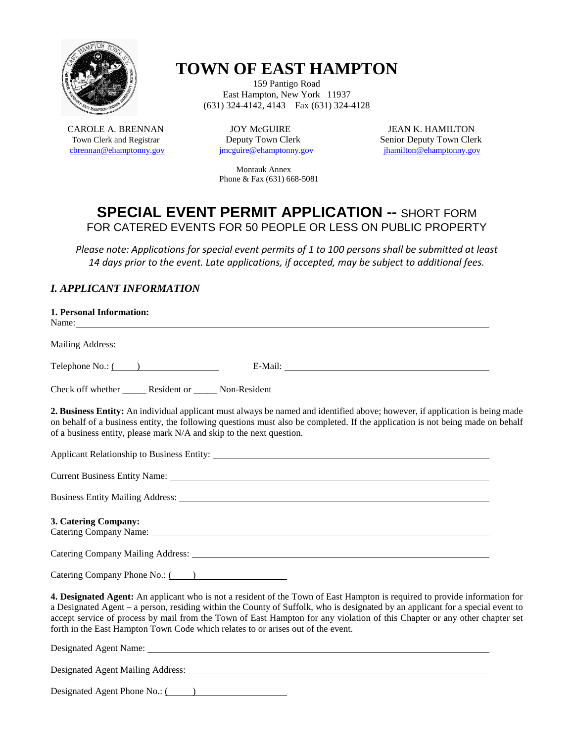

# **TOWN OF EAST HAMPTON**

159 Pantigo Road East Hampton, New York 11937 (631) 324-4142, 4143 Fax (631) 324-4128

CAROLE A. BRENNAN JOY McGUIRE JEAN K. HAMILTON<br>Town Clerk and Registrar Deputy Town Clerk Senior Deputy Town Cler [cbrennan@ehamptonny.gov](mailto:cbrennan@ehamptonny.gov)

Town Clerk Senior Deputy Town Clerk<br>  $\frac{1}{2}$  Senior Deputy Town Clerk<br>  $\frac{1}{2}$  Senior Deputy Town Clerk

 Montauk Annex Phone & Fax (631) 668-5081

## **SPECIAL EVENT PERMIT APPLICATION --** SHORT FORM FOR CATERED EVENTS FOR 50 PEOPLE OR LESS ON PUBLIC PROPERTY

*Please note: Applications for special event permits of 1 to 100 persons shall be submitted at least 14 days prior to the event. Late applications, if accepted, may be subject to additional fees.*

### *I. APPLICANT INFORMATION*

| 1. Personal Information:<br>Name: Name and the state of the state of the state of the state of the state of the state of the state of the state of the state of the state of the state of the state of the state of the state of the state of the state of                                                                                                                                                                                                                     |
|--------------------------------------------------------------------------------------------------------------------------------------------------------------------------------------------------------------------------------------------------------------------------------------------------------------------------------------------------------------------------------------------------------------------------------------------------------------------------------|
|                                                                                                                                                                                                                                                                                                                                                                                                                                                                                |
| Telephone No.: (2008)                                                                                                                                                                                                                                                                                                                                                                                                                                                          |
| Check off whether ________ Resident or _______ Non-Resident                                                                                                                                                                                                                                                                                                                                                                                                                    |
| 2. Business Entity: An individual applicant must always be named and identified above; however, if application is being made<br>on behalf of a business entity, the following questions must also be completed. If the application is not being made on behalf<br>of a business entity, please mark N/A and skip to the next question.                                                                                                                                         |
|                                                                                                                                                                                                                                                                                                                                                                                                                                                                                |
| Current Business Entity Name: 1988. The Contract of the Current Business Entity Name:                                                                                                                                                                                                                                                                                                                                                                                          |
|                                                                                                                                                                                                                                                                                                                                                                                                                                                                                |
| 3. Catering Company:<br>Catering Company Name: 1986. The Company Name: 1986. The Company Name: 1986. The Company Name: 1986. The Company Name: 1986. The Company Name: 1986. The Company Name: 1986. The Company Name: 1986. The Company Name: 1986. T                                                                                                                                                                                                                         |
| Catering Company Mailing Address: Languary 2014                                                                                                                                                                                                                                                                                                                                                                                                                                |
| Catering Company Phone No.: (2008)                                                                                                                                                                                                                                                                                                                                                                                                                                             |
| 4. Designated Agent: An applicant who is not a resident of the Town of East Hampton is required to provide information for<br>a Designated Agent – a person, residing within the County of Suffolk, who is designated by an applicant for a special event to<br>accept service of process by mail from the Town of East Hampton for any violation of this Chapter or any other chapter set<br>forth in the East Hampton Town Code which relates to or arises out of the event. |
|                                                                                                                                                                                                                                                                                                                                                                                                                                                                                |
|                                                                                                                                                                                                                                                                                                                                                                                                                                                                                |
| Designated Agent Phone No.: (2008)                                                                                                                                                                                                                                                                                                                                                                                                                                             |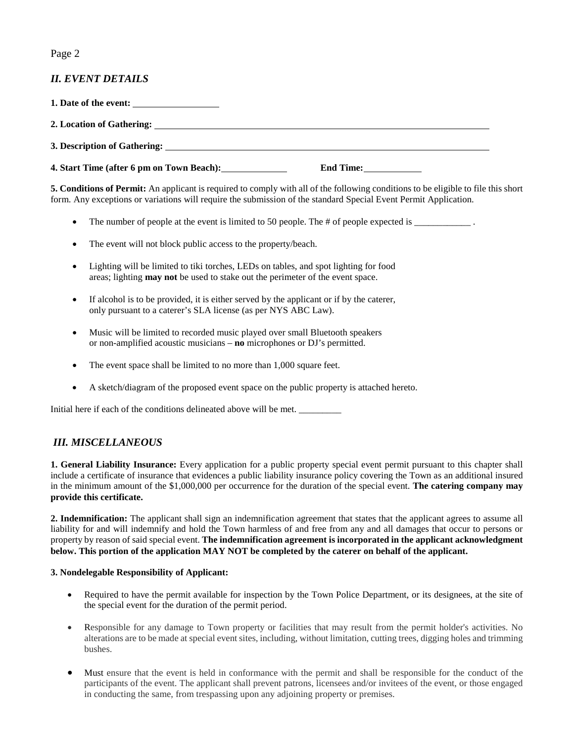#### Page 2

#### *II. EVENT DETAILS*

**1. Date of the event: 2. Location of Gathering: 3. Description of Gathering: 4. Start Time (after 6 pm on Town Beach): End Time:**

**5. Conditions of Permit:** An applicant is required to comply with all of the following conditions to be eligible to file this short form. Any exceptions or variations will require the submission of the standard Special Event Permit Application.

- The number of people at the event is limited to 50 people. The # of people expected is \_\_\_\_\_\_\_\_\_\_\_\_\_\_.
- The event will not block public access to the property/beach.
- Lighting will be limited to tiki torches, LEDs on tables, and spot lighting for food areas; lighting **may not** be used to stake out the perimeter of the event space.
- If alcohol is to be provided, it is either served by the applicant or if by the caterer, only pursuant to a caterer's SLA license (as per NYS ABC Law).
- Music will be limited to recorded music played over small Bluetooth speakers or non-amplified acoustic musicians – **no** microphones or DJ's permitted.
- The event space shall be limited to no more than 1,000 square feet.
- A sketch/diagram of the proposed event space on the public property is attached hereto.

Initial here if each of the conditions delineated above will be met. \_\_\_\_\_\_\_\_\_

#### *III. MISCELLANEOUS*

**1. General Liability Insurance:** Every application for a public property special event permit pursuant to this chapter shall include a certificate of insurance that evidences a public liability insurance policy covering the Town as an additional insured in the minimum amount of the \$1,000,000 per occurrence for the duration of the special event. **The catering company may provide this certificate.**

**2. Indemnification:** The applicant shall sign an indemnification agreement that states that the applicant agrees to assume all liability for and will indemnify and hold the Town harmless of and free from any and all damages that occur to persons or property by reason of said special event. **The indemnification agreement is incorporated in the applicant acknowledgment below. This portion of the application MAY NOT be completed by the caterer on behalf of the applicant.**

#### **3. Nondelegable Responsibility of Applicant:**

- Required to have the permit available for inspection by the Town Police Department, or its designees, at the site of the special event for the duration of the permit period.
- Responsible for any damage to Town property or facilities that may result from the permit holder's activities. No alterations are to be made at special event sites, including, without limitation, cutting trees, digging holes and trimming bushes.
- Must ensure that the event is held in conformance with the permit and shall be responsible for the conduct of the participants of the event. The applicant shall prevent patrons, licensees and/or invitees of the event, or those engaged in conducting the same, from trespassing upon any adjoining property or premises.